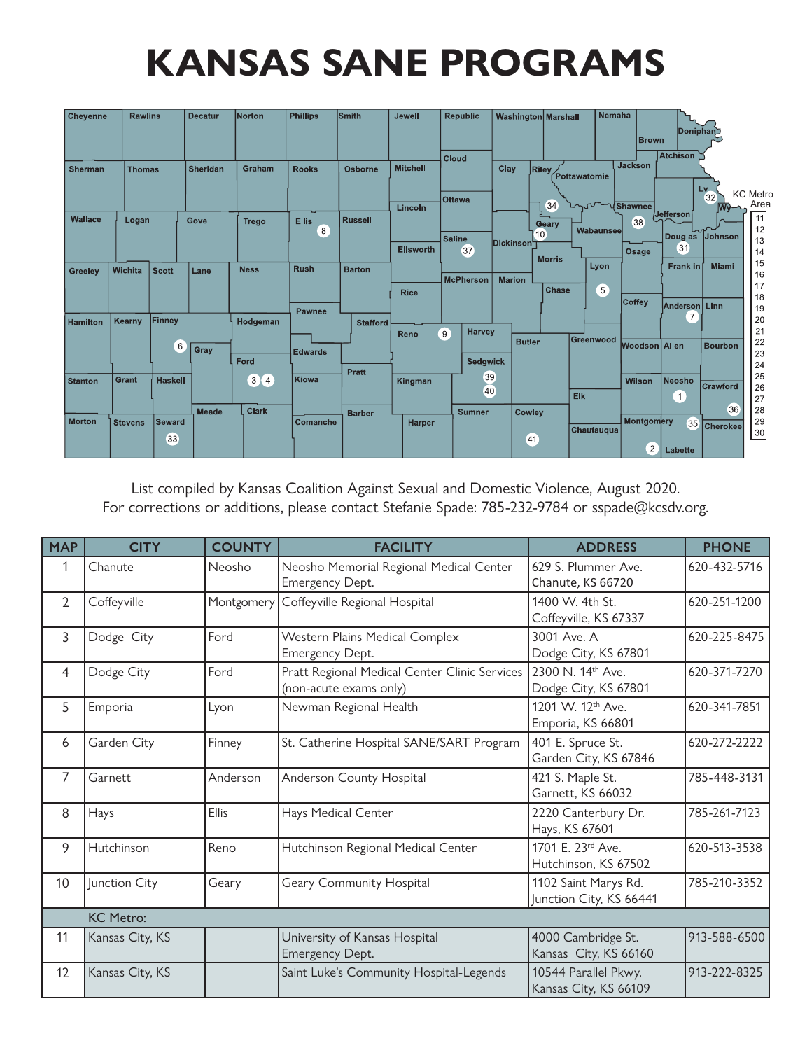## **KANSAS SANE PROGRAMS**

| Cheyenne        | <b>Rawlins</b> |                | <b>Decatur</b> | Norton                                                 | <b>Phillips</b>          | <b>Smith</b>    | <b>Jewell</b>               | <b>Republic</b>                              | <b>Washington Marshall</b>                               | <b>Nemaha</b>          | <b>Brown</b>                 | Doniphan                                 |                                              |
|-----------------|----------------|----------------|----------------|--------------------------------------------------------|--------------------------|-----------------|-----------------------------|----------------------------------------------|----------------------------------------------------------|------------------------|------------------------------|------------------------------------------|----------------------------------------------|
| <b>Sherman</b>  | <b>Thomas</b>  |                | Sheridan       | Graham                                                 | <b>Rooks</b>             | Osborne         | <b>Mitchell</b>             | Cloud<br>Ottawa                              | Clay<br><b>Riley</b>                                     | Pottawatomie           | Jackson                      | <b>Atchison</b><br>Lv.                   | <b>KC</b> Metro<br>32<br>Area                |
| <b>Wallace</b>  | Logan          |                | Gove           | <b>Trego</b>                                           | <b>Ellis</b><br>8        | <b>Russell</b>  | Lincoln<br><b>Ellsworth</b> | Saline<br>37                                 | 34<br>Geary<br>10 <sub>o</sub><br>Dickinson <sup>∟</sup> | VIShawnee<br>Wabaunsee | 38<br>Osage                  | <b>Jefferson</b><br><b>Douglas</b><br>31 | 11<br>12<br>Johnson<br>13<br>14              |
| Greeley         | Wichita        | <b>Scott</b>   | Lane           | <b>Ness</b>                                            | <b>Rush</b>              | <b>Barton</b>   | <b>Rice</b>                 | <b>McPherson</b>                             | <b>Morris</b><br><b>Marion</b><br>Chase                  | Lyon<br>5 <sup>5</sup> | Coffey                       | <b>Franklin</b><br>Anderson              | 15<br><b>Miami</b><br>16<br>17<br>18<br>Linn |
| <b>Hamilton</b> | <b>Kearny</b>  | Finney<br>6    | Gray           | Hodgeman<br>Ford                                       | Pawnee<br><b>Edwards</b> | <b>Stafford</b> | Reno                        | <b>Harvey</b><br>9                           | <b>Butler</b>                                            | Greenwood              | Woodson   Allen              | $\overline{7}$                           | 19<br>20<br>21<br>22<br><b>Bourbon</b><br>23 |
| <b>Stanton</b>  | Grant          | <b>Haskell</b> | <b>Meade</b>   | $\left[3\right]$<br>$\left( 4 \right)$<br><b>Clark</b> | Kiowa                    | <b>Pratt</b>    | Kingman                     | <b>Sedgwick</b><br>39<br>40<br><b>Sumner</b> |                                                          | Elk                    | Wilson                       | Neosho<br>$\mathbf{1}$                   | 24<br>25<br>Crawford<br>26<br>27<br>36<br>28 |
| <b>Morton</b>   | <b>Stevens</b> | Seward<br>33   |                |                                                        | Comanche                 | <b>Barber</b>   | <b>Harper</b>               |                                              | Cowley<br>41                                             | Chautauqua             | Montgomery<br>$\overline{c}$ | 35<br>Labette                            | 29<br><b>Cherokee</b><br>$\frac{30}{2}$      |

List compiled by Kansas Coalition Against Sexual and Domestic Violence, August 2020. For corrections or additions, please contact Stefanie Spade: 785-232-9784 or sspade@kcsdv.org.

| <b>MAP</b>     | <b>COUNTY</b><br><b>CITY</b> |              | <b>FACILITY</b>                                                         | <b>ADDRESS</b>                                     | <b>PHONE</b> |  |
|----------------|------------------------------|--------------|-------------------------------------------------------------------------|----------------------------------------------------|--------------|--|
| 1              | Neosho<br>Chanute            |              | Neosho Memorial Regional Medical Center<br>Emergency Dept.              | 629 S. Plummer Ave.<br>Chanute, KS 66720           | 620-432-5716 |  |
| $\overline{2}$ | Coffeyville                  | Montgomery   | Coffeyville Regional Hospital                                           | 1400 W. 4th St.<br>Coffeyville, KS 67337           | 620-251-1200 |  |
| 3              | Dodge City                   | Ford         | Western Plains Medical Complex<br>Emergency Dept.                       | 3001 Ave. A<br>Dodge City, KS 67801                | 620-225-8475 |  |
| 4              | Dodge City                   | Ford         | Pratt Regional Medical Center Clinic Services<br>(non-acute exams only) | 2300 N. 14th Ave.<br>Dodge City, KS 67801          | 620-371-7270 |  |
| 5              | Emporia                      | Lyon         | Newman Regional Health                                                  | 1201 W. 12 <sup>th</sup> Ave.<br>Emporia, KS 66801 | 620-341-7851 |  |
| 6              | Garden City                  | Finney       | St. Catherine Hospital SANE/SART Program                                | 401 E. Spruce St.<br>Garden City, KS 67846         | 620-272-2222 |  |
| 7              | Garnett                      | Anderson     | Anderson County Hospital                                                | 421 S. Maple St.<br>Garnett, KS 66032              | 785-448-3131 |  |
| 8              | Hays                         | <b>Ellis</b> | Hays Medical Center                                                     | 2220 Canterbury Dr.<br>Hays, KS 67601              | 785-261-7123 |  |
| 9              | Hutchinson                   | Reno         | Hutchinson Regional Medical Center                                      | 1701 E. 23rd Ave.<br>Hutchinson, KS 67502          | 620-513-3538 |  |
| 10             | Junction City                | Geary        | Geary Community Hospital                                                | 1102 Saint Marys Rd.<br>Junction City, KS 66441    | 785-210-3352 |  |
|                | <b>KC Metro:</b>             |              |                                                                         |                                                    |              |  |
| 11             | Kansas City, KS              |              | University of Kansas Hospital<br>Emergency Dept.                        | 4000 Cambridge St.<br>Kansas City, KS 66160        | 913-588-6500 |  |
| 12             | Kansas City, KS              |              | Saint Luke's Community Hospital-Legends                                 | 10544 Parallel Pkwy.<br>Kansas City, KS 66109      | 913-222-8325 |  |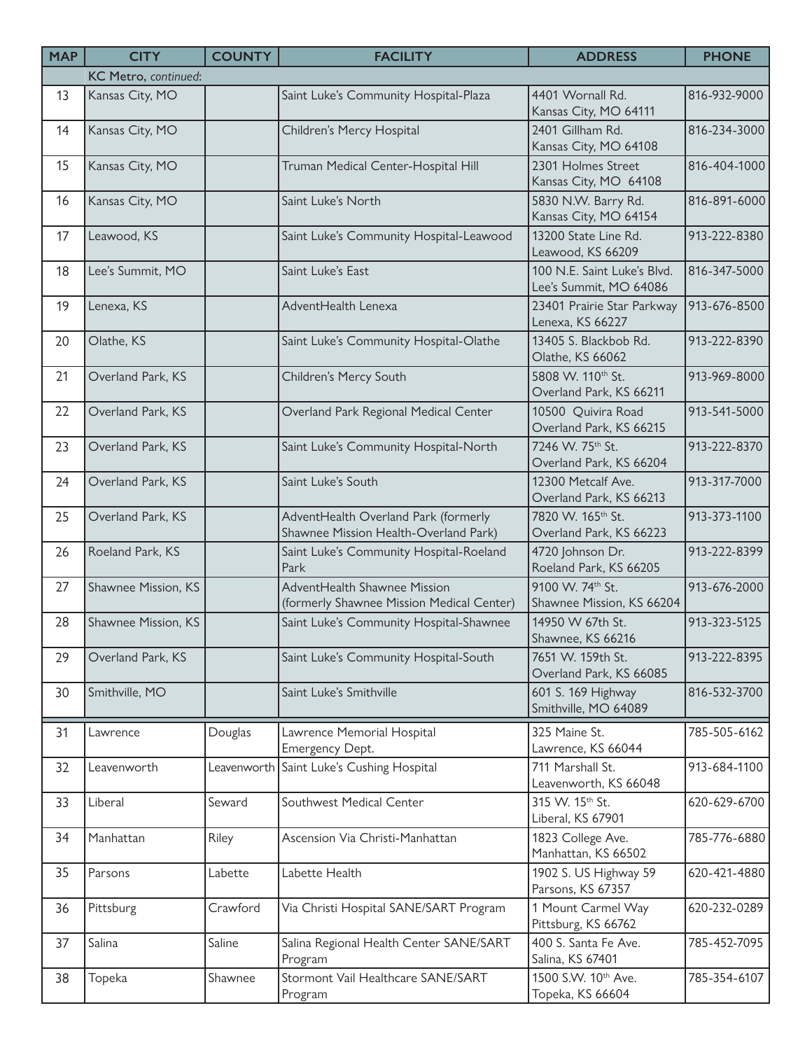| <b>MAP</b> | <b>CITY</b>          | <b>COUNTY</b> | <b>FACILITY</b>                                                               | <b>ADDRESS</b>                                           | <b>PHONE</b> |
|------------|----------------------|---------------|-------------------------------------------------------------------------------|----------------------------------------------------------|--------------|
|            | KC Metro, continued: |               |                                                                               |                                                          |              |
| 13         | Kansas City, MO      |               | Saint Luke's Community Hospital-Plaza                                         | 4401 Wornall Rd.<br>Kansas City, MO 64111                | 816-932-9000 |
| 14         | Kansas City, MO      |               | Children's Mercy Hospital                                                     | 2401 Gillham Rd.<br>Kansas City, MO 64108                | 816-234-3000 |
| 15         | Kansas City, MO      |               | Truman Medical Center-Hospital Hill                                           | 2301 Holmes Street<br>Kansas City, MO 64108              | 816-404-1000 |
| 16         | Kansas City, MO      |               | Saint Luke's North                                                            | 5830 N.W. Barry Rd.<br>Kansas City, MO 64154             | 816-891-6000 |
| 17         | Leawood, KS          |               | Saint Luke's Community Hospital-Leawood                                       | 13200 State Line Rd.<br>Leawood, KS 66209                | 913-222-8380 |
| 18         | Lee's Summit, MO     |               | Saint Luke's East                                                             | 100 N.E. Saint Luke's Blvd.<br>Lee's Summit, MO 64086    | 816-347-5000 |
| 19         | Lenexa, KS           |               | AdventHealth Lenexa                                                           | 23401 Prairie Star Parkway<br>Lenexa, KS 66227           | 913-676-8500 |
| 20         | Olathe, KS           |               | Saint Luke's Community Hospital-Olathe                                        | 13405 S. Blackbob Rd.<br>Olathe, KS 66062                | 913-222-8390 |
| 21         | Overland Park, KS    |               | Children's Mercy South                                                        | 5808 W. 110th St.<br>Overland Park, KS 66211             | 913-969-8000 |
| 22         | Overland Park, KS    |               | Overland Park Regional Medical Center                                         | 10500 Quivira Road<br>Overland Park, KS 66215            | 913-541-5000 |
| 23         | Overland Park, KS    |               | Saint Luke's Community Hospital-North                                         | 7246 W. 75th St.<br>Overland Park, KS 66204              | 913-222-8370 |
| 24         | Overland Park, KS    |               | Saint Luke's South                                                            | 12300 Metcalf Ave.<br>Overland Park, KS 66213            | 913-317-7000 |
| 25         | Overland Park, KS    |               | AdventHealth Overland Park (formerly<br>Shawnee Mission Health-Overland Park) | 7820 W. 165 <sup>th</sup> St.<br>Overland Park, KS 66223 | 913-373-1100 |
| 26         | Roeland Park, KS     |               | Saint Luke's Community Hospital-Roeland<br>Park                               | 4720 Johnson Dr.<br>Roeland Park, KS 66205               | 913-222-8399 |
| 27         | Shawnee Mission, KS  |               | AdventHealth Shawnee Mission<br>(formerly Shawnee Mission Medical Center)     | 9100 W. 74th St.<br>Shawnee Mission, KS 66204            | 913-676-2000 |
| 28         | Shawnee Mission, KS  |               | Saint Luke's Community Hospital-Shawnee                                       | 14950 W 67th St.<br>Shawnee, KS 66216                    | 913-323-5125 |
| 29         | Overland Park, KS    |               | Saint Luke's Community Hospital-South                                         | 7651 W. 159th St.<br>Overland Park, KS 66085             | 913-222-8395 |
| 30         | Smithville, MO       |               | Saint Luke's Smithville                                                       | 601 S. 169 Highway<br>Smithville, MO 64089               | 816-532-3700 |
| 31         | Lawrence             | Douglas       | Lawrence Memorial Hospital<br>Emergency Dept.                                 | 325 Maine St.<br>Lawrence, KS 66044                      | 785-505-6162 |
| 32         | Leavenworth          |               | Leavenworth Saint Luke's Cushing Hospital                                     | 711 Marshall St.<br>Leavenworth, KS 66048                | 913-684-1100 |
| 33         | Liberal              | Seward        | Southwest Medical Center                                                      | 315 W. 15th St.<br>Liberal, KS 67901                     | 620-629-6700 |
| 34         | Manhattan            | Riley         | Ascension Via Christi-Manhattan                                               | 1823 College Ave.<br>Manhattan, KS 66502                 | 785-776-6880 |
| 35         | Parsons              | Labette       | Labette Health                                                                | 1902 S. US Highway 59<br>Parsons, KS 67357               | 620-421-4880 |
| 36         | Pittsburg            | Crawford      | Via Christi Hospital SANE/SART Program                                        | 1 Mount Carmel Way<br>Pittsburg, KS 66762                | 620-232-0289 |
| 37         | Salina               | Saline        | Salina Regional Health Center SANE/SART<br>Program                            | 400 S. Santa Fe Ave.<br>Salina, KS 67401                 | 785-452-7095 |
| 38         | Topeka               | Shawnee       | Stormont Vail Healthcare SANE/SART<br>Program                                 | 1500 S.W. 10 <sup>th</sup> Ave.<br>Topeka, KS 66604      | 785-354-6107 |